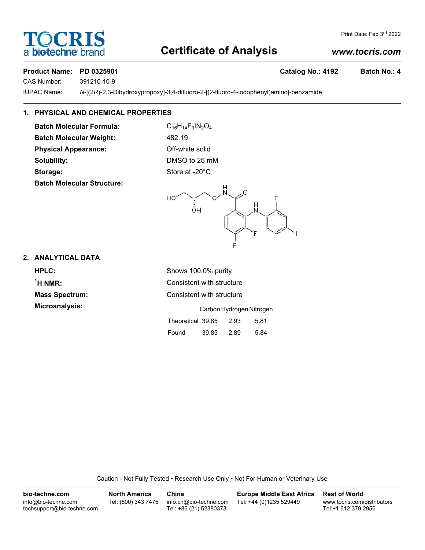## OCRIS **biotechne**

#### Print Date: Feb 3rd 2022

## **Certificate of Analysis**

## *www.tocris.com*

### Product Name: PD 0325901 **Catalog No.: 4192** Batch No.: 4

CAS Number: 391210-10-9

IUPAC Name: *N*-[(2*R*)-2,3-Dihydroxypropoxy]-3,4-difluoro-2-[(2-fluoro-4-iodophenyl)amino]-benzamide

## **1. PHYSICAL AND CHEMICAL PROPERTIES**

**Batch Molecular Formula:** C<sub>16</sub>H<sub>14</sub>F<sub>3</sub>IN<sub>2</sub>O<sub>4</sub> Batch Molecular Weight: 482.19 **Physical Appearance:** Off-white solid **Solubility:** DMSO to 25 mM **Storage:** Store at -20°C **Batch Molecular Structure:**



## **2. ANALYTICAL DATA**

**HPLC:** Shows 100.0% purity  $<sup>1</sup>H NMR$ :</sup> **Microanalysis:** 

**Consistent with structure Mass Spectrum:** Consistent with structure

|                   | Carbon Hydrogen Nitrogen |      |      |  |  |
|-------------------|--------------------------|------|------|--|--|
| Theoretical 39.85 |                          | 2.93 | 5.81 |  |  |
| Found             | 39.85                    | 2.89 | 5.84 |  |  |

Caution - Not Fully Tested • Research Use Only • Not For Human or Veterinary Use

| bio-techne.com                                    | <b>North America</b> | China                                            | <b>Europe Middle East Africa</b> | <b>Rest of World</b>                               |
|---------------------------------------------------|----------------------|--------------------------------------------------|----------------------------------|----------------------------------------------------|
| info@bio-techne.com<br>techsupport@bio-techne.com | Tel: (800) 343 7475  | info.cn@bio-techne.com<br>Tel: +86 (21) 52380373 | Tel: +44 (0)1235 529449          | www.tocris.com/distributors<br>Tel:+1 612 379 2956 |